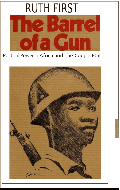# RUTH FIRST



## Political Powerin Africa and the Coup d'Etat

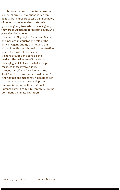In this powerful and concentrated examination of army interventions in African politics, Ruth First produces a general theory of power for independent states which goes a long way towards explain- ing why they are so vulnerable to military coups. She gives detailed accounts of the coups in Nigeria,the Sudan and Ghana, and includes material on the role of the army in Algeria and Egypt,showing the kinds of conflict which lead to the situation where the political machinery is short-circuited and guns do the leading. She makes use of interviews, conveying a vivid idea of what a coup means to those involved in it. 'Icount myself an African', writes Ruth First,'and there is no cause Ihold dearer.' And though she makes harsh judgement on Africa's independent leaderships.her purpose is not to confirm irrational European prejudice but to contribute to the continent's ultimate liberation.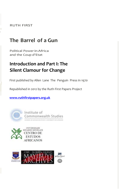RUTH FIRST

I -1

## **The Barrel of a Gun**

Political PowerinAfrica and the Coup d'Etat

## **Introduction and Part I: The Silent Clamour for Change**

First published by Allen Lane The Penguin Press in 1970

Republished in 2012 by the Ruth First Papers Project

**[www.ruthfirstpapers.org.uk](http://www.ruthfirstpapers.org.uk/)**





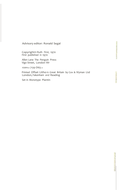Advisory editor: Ronald Segal

Copyright©Ruth First, 1970 First published in 1970

Allen Lane The Penguin Press Vigo Street, London Wr

ISBN*0* 7139 OI63 2

Printed Offset Litho in Great Britain by Cox & Wyman Ltd London, Fakenham and Reading

Set in Monotype Plantin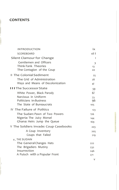### **CONTENTS**

I

I

I

| <b>INTRODUCTION</b>                                                        | ix            |
|----------------------------------------------------------------------------|---------------|
| <b>SCOREBOARD</b>                                                          | xii I         |
| Silent Clamour for Change                                                  | -1            |
| Gentlemen and Officers<br>Think-Tank Theories<br>The Contagion of the Coup | 3<br>13<br>20 |
| II The Colonial Sediment                                                   | 25            |
| The Grid of Administration                                                 | 28            |
| Ways and Means of Decolonization                                           | 41            |
| <b>III</b> The Successor State                                             | 59            |
| White Power, Black Parody                                                  | 6!            |
| Narcissus in Uniform                                                       | 73            |
| Politicians in Business                                                    | 96            |
| The State of Bureaucrats                                                   | 105           |
| IV The Failure of Politics                                                 | 123           |
| The Sudan: Pawn of Two Powers                                              | !26           |
| Nigeria: The Juicy Morsel                                                  | 144           |
| Ghana: Heirs Jump the Queue                                                | 169           |
| V The Soldiers Invade: Coup Casebooks                                      | 203           |
| A Coup Inventory                                                           | 205           |
| Coups that Failed                                                          | 219           |
| <b>I. THE SUDAN</b>                                                        |               |
| The General Changes Hats                                                   | 222           |
| The Brigadiers Mutiny<br>Insurrection                                      | 232<br>246    |
| A Putsch with a Popular Front                                              | 271           |
|                                                                            | v             |
|                                                                            |               |



I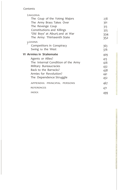#### *Contents*

| 2.NIGERIA                          |     |
|------------------------------------|-----|
| The Coup of the Yotmg Majors       | 278 |
| The Army Brass Takes Over          | 301 |
| The Revenge Coup                   | 313 |
| Constitutions and Killings         | 325 |
| 'Old Boys' at Aburi; and at War    | 334 |
| The Army: Thirteenth State         | 352 |
| 3.GHANA                            |     |
| Competitors in Conspiracy          | 363 |
| Swing to the West                  | 376 |
| VI Armies in Stalemate             | 409 |
| Agents or Allies?                  | 413 |
| The Internal Condition of the Army | 426 |
| Military Bureaucracies             | 432 |
| Back to the Barracks?              | 438 |
| Armies for Revolution?             | 441 |
| The Dependence Struggle            | 452 |
| APPENDIX: PRINCIPAL PERSONS        | 467 |
| <b>REFERENCES</b>                  | 471 |
| <b>INDEX</b>                       | 499 |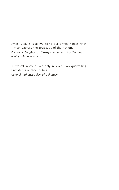After God, it is above all to our armed forces that I must express the gratitude of the nation. *President Senghor of Senegal, after an abortive coup against his government.*

It wasn't a coup. We only relieved two quarrelling Presidents of their duties. *Colonel Alphonse Alley of Dahomey*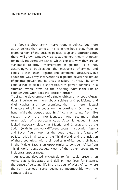#### **INTRODUCTION**

This book is about army interventions in politics, but more about politics than armies. This is in the hope that, from an examina- tion of the crisis in politics, coup and counter-coup, there will grow, tentatively at least, a general theory of power for newly independent states which explains why they are so vulnerable to army interventions in politics. It is not, accordingly, a book about the mechanics of armies and coups d'etat, their logistics and command structures, but about the way army interventions in politics reveal the nature of political power and its areas of failure in Africa. The army coup d'etat is plainly a short-circuit of power conflicts in a situation where arms do the deciding. What is the kind of conflict? And what does the decision entail?

Tracing the development of a single African army coup d'etat does, I believe, tell more about soldiers and politicians, and their clashes and compromises, than a mere factual inventory of all the coups on the continent. On the other hand, while the coups d'etat in Africa may spring from like causes, they are not identical. And so, more than examination of a particular coup d'etat is needed. I have looked especially closely at Nigeria and Ghana; and at the Sudan (with its two very different coups in a decade). Algeria and Egypt figure, too; for the coup d'etat is a feature of political crisis in all parts of the Third World, and the inclusion of these countries, with their bodies in Africa but their heads in the Middle East, is an opportunity to consider Africa from Third World perspectives. Most of the other coups make incidental appearances.

An account devoted exclusively to fact could present an Africa that is desiccated and dull. It must lose, for instance, the sense of pulsating life in the streets of West Africa, where the rum- bustious spirit seems so incompatible with the earnest political

i • . I ,

l ·I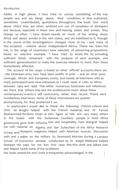#### *Introduction*

futility in high places. I have tried to convey something of the way people see, and say things about, their condition, in the scattered, sometimes unattributed, quotations throughout the book. One word about titles: they are often omitted not out of casualness or disrespect but because, especially in these new and heaving states and armies, they change so often. I have drawn heavily on much of the writing about Africa and about armies in the new states, and am indebted to it, though in the course of this investigation <sup>I</sup> changed most of my - and many of the accepted - notions about independent Africa. There has been the risk, in the range of countries I have selected, of advancing propositions based on selective example. I have tried to avoid this by including sufficient detail, consonant with the purpose of each example, and sufficient generalization to make the exercise relevant to more than those immediately affected.

The account of the coups is based on what 'official' accounts there are -the Ghanaian army men have been prolific in print - and on what press coverage, African and European, exists; but mostly on interviews with as many participantsand close witnesses as I could meet in visits to Africa between r964 and r968. The rather numerous footnotes and references are there that others may test the evidence;for much about these contemporary events is still controversy rather than record. There were numberless interviews. Some of those interviewed are quoted anonymously, for they preferred it so.

In particular I would like to thank the following: Patrick Lefevre and Chris de Broglio helped with the French material, and Dr Farouk Mohammed Ibrahim, Omar al Zein, Tigani al- Taib and very many others in the Sudan with the Sudanese. Countless people in West Africa generously gave both informa tion and hospitality. Tom Wengraf helped me with material on Algeria, and Dan Schechter of the Africa Research Group and *Ramparts* magazine helped with American sources. Discussion with and a paper on the military by Desmond Morton during a London School of Economics seminar conducted by Dr Ralph Miliband helped sharpen the topic for me. Ken Post read the first draft and talked over and helped tackle some of the problems

j

the book raised; his own work is frequently acknowledged in the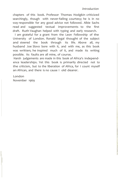*Introduction*

chapters of this book. Professor Thomas Hodgkin criticized searchingly, though with never-failing courtesy; he is in no way responsible for any good advice not followed. Albie Sachs read and suggested textual improvements to the first draft. Ruth Vaughan helped with typing and early research.

I am grateful for a grant from the Leon Fellowship of the University of London. Ronald Segal thought of the subject and steered the book through its life. Above all, my husband Joe Slovo bore with it, and with me, as this book was written; he inspired much of it, and made its writing possible. Its faults are all mine, of course.

Harsh judgements are made in this book of Africa's independence leaderships. Yet this book is primarily directed not to the criticism, but to the liberation of Africa, for I count myself an African, and there is no cause I old dearer.

London November 1969

,

I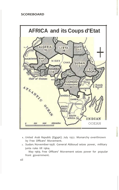#### **SCOREBOARD**



- I. *United Arab Republic* (Egypt). July 1952. Monarchy overthrown by Free Officers' Movement.
- 2. *Sudan.*November1958. General Abboud seizes power, military junta rules till 1964.

May 1969. Free Officers' Movement seizes power for popular front government.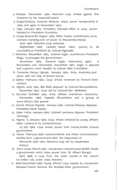- 3· *Ethiopia.* December 1960. Abortive coup d'etat against the Emperor by the Imperial Guard.
- 4· *Congo-Kinshasa.* General Mobutu seizes power temporarily in 1960, and again in November 1965.
- 5· *Togo.* January 1963. President Olympio killed in coup, power handed to President Grunitzky.
- 6. *Congo-Brazzaville.*August 1963. Abbe Youlou overthrown, army oversees handing over of power to Massemba-Debat. June 1966. Abortive coup attempt. September 1968. Captain Raoul takes power, to be

succeeded as President by Colonel Ngouabi.

7· *Dahomey.* December 1963. Colonel Soglo overthrows President Maga, re-arranges the government.

December 1965. General Soglo intervenes again in November, and December. December 1967. Soglo is deposed and a govern- ment headed by Colonel Alley is installed.

- 8. *Tanzania, Kenya, Uganda.* January 1964. Army mutinies, put down with the help of British forces.
- 9· *Gabon.* February 1964. Coup d'etat reversed by French intervention.
- 10. *Algeria.* June 1965. Ben Bella deposed by Colonel Boumedienne. December 1967. Coup led by Colonel Zbiri defeated.
- II. *Burundi.* October 1965. Army officers overthrow monarchy. November 1966. Captain Micombero and a group of army officers take power.
- 12. *Central African Republic.* January 1966. Colonel Bokassa deposes President David Dacko.
- 13. *Upper Volta.* January 1966. Colonel Lamizana deposes President Yameogo.
- 14. *Nigeria.* 15 January 1966. Coup d'etat initiated by young officers taken control of by General Ironsi.

29 July 1966. Coup wrests power from Ironsi,installs Gowon government.

- 15. *Ghana.* February 1966.General Ankrah and Police Commissioner Harlley form a government after the deposition of Nkrumah. April 1967. Abortive coup led by Lieutenant Arthur.
- 16. Sierra Leone. March 1967. Lieutenant Colonel Juxon-Smith heads a government which takes power from Sir Albert Margai. April 1968. A coup from the ranks results in the return to civilian rule, under Siaka Stevens.
- 17. *Mali.*November 1968. Young officers' coup headed by Lieutenant Moussa Traore removes the Modibo Keita government.

xiii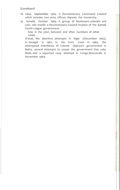#### *Scoreboard*

- r8. *Libya.* September 1969. A Revolutionary Command Council which includes two army officers deposes the monarchy.
- 19. *Somalia .* October 1969. A group of lieutenant-colonels and colo- nels installs a Revolutionary Council inplace of the Somali. Youth League government.

And, in the years between and after, numbers of other coups

d'etat, like abortive attempts in Niger (December 1963), in Senegal in 1962, in the Ivory Coast in 1963; the attempted overthrow of Colonel Ojulcwu's government in Biafra, several attempts to unseat the government that rules Mali; and a reported coup attempt in Congo-Brazzaville in November 1969.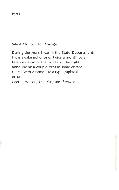, 1

#### **Silent Clamour for Change**

During the years I was inthe State Department, I was awakened once or twice a month by a telephone call in the middle of the night announcing a coup d'etatin some distant capital with a name like a typographical error.

George W. Ball, *The Discipline of Power*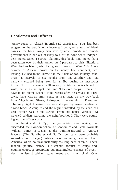#### **Gentlemen and Officers**

I

J

I

I

'Army coups in Africa? 'friends said caustically. 'You had best suggest to the publisher a loose-leaf book, or a wad of blank pages at the back.' Army men have by now unmade and remade governments in one out of every four of the continent's independent states. Since I started planning this book, nine states have been taken over by their armies. As I prepared to visit Nigeria, a West Indian friend, who had gone to teach in West Mric::1 as a devotee of African power on the newly free continent, was leaving. He had found himself in the thick of two military takeovers, at intervals of six months from one another, and had narrowly escaped being taken for an Ibo during the massacres in the North. He wanted still to stay in Africa, to teach and to write, but in a quiet spot this time. 'No more coups, I think it'll have to be Sierra Leone.' Nine weeks after he arrived in Freetown, there was an army coup. A year later, on my way back from Nigeria and Ghana, I dropped in to see him in Freetown. The very night I arrived we were stopped by armed soldiers at a road-block. A coup to end the regime installed by the coup of a year earlier was in full swing. From his house veranda, we watched soldiers searching the neighbourhood. They were rounding up the officer corps.

Sandhurst and St Cyr, the journalists were saying, had succeeded the London School of Economics and Ecole Normale William Panty in Dakar as the training-ground of Africa's leaders. (The Sandhurst and St Cyr curricula were probably over-due for change.) Africa was becoming another Latin America, where political instability has long been chronic. There, modern political history is a chaotic account of coups and counter-coups, of precipitate but meaningless changes of president, minister, cabinet, government and army chief. One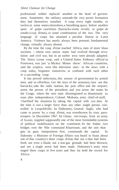professional soldier replaced another at the head of government. Sometimes the .military unmade the very power formation they had themselves installed. A coup every eight months, or twelve,in some states;elsewhere,a breathing space, before another spurt of *golpe cuartelazo* (barracks-room revolt), or *golpe de estado* (coup d'etat), or some combination of the two. The very language of coups has attained a peculiar finesse in Latin America. Violence has nearly always been present; fundamental change, virtually always absent.

By the time the coup d'etat reached Africa, men of more blase societies – whose own nation states had evolved through revolution and civil war, but in an earlier era- were already adapted. The Sierra Leone coup, said a United States Embassy official in Freetown, was just 'a Mickey Mouse show'. African countries, said the sceptics, were like television stars : in the news with a coup today, forgotten tomorrow, or confused with each other in a succeeding coup.

It has proved infectious, this seizure of government by armed men, and so effortless. Get the keys of the armoury; turn out the barracks; take the radio station, the post office and the airport; arrest the person of the president, and you arrest the state. In the Congo, where the new state disintegrated so disastrously so soon after independence, Colonel Mobutu, army chief-of-staff, 'clarified' the situation by taking the capital with 200 men. At the time it was a larger force than any other single person controlled in Leopoldville. In Dahomey, General Soglo, who had come to power by a coup d'etat, was overthrown by sixty paratroopers in December 1967. In Ghana 500 troops, from an army of Io,ooo, toppled supposedly one of the most formidable systems of political mobilization on the continent. In the Sudan two bridges over the Nile command Khartoum; and the unit that gets its guns intposition first, commands the capital. In Dahomey a Minister of Foreign Affairs was heard to boast about one of that country's three coups d'etat, that not a shot had been fired, not even a blank; not a tear-gas grenade had been thrown; and not a single arrest had been made. Dahomey's army men staged three coups in five years and thus far hold the record for Africa.

I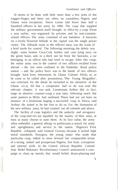It seems to be done with little more than a few jerks of the trigger-finger; and there are, often, no casualties; Nigeria and Ghana were exceptions. Sierra Leone had fewer than half a hundred officers in her army by r968. The coup that toppled the military government, itself brought to office by a coup d'etat a year earlier, was organized by privates and by non-commissioned officers. The army consisted of one battalion. A barracks on a lovely flowered hillside in the capital was the single power centre. The billiards room in the officers' mess was the scene of a brief tussle for control. The following morning, the debris was slight; some broken Coca-Cola bottles and cues lying awry on the green baize, and, in a ditch not far from the barracks, a car belonging to an officer who had tried to escape. After this coup, the entire army was in the control of two officers recalled from abroad – the rest were confined to the Pademba Road police station - and the police force was in the hands of two officers brought back from retirement. In Ghana Colonel Afrifa, or, as he came to be called after promotion, 'The Young Brigadier', was criticized for the detail he included in his chronicle of the Ghana co1,1p. All that a conspirator had to do was read the relevant chapter, it was said, Lieutenant Arthur did, in fact, stage an abortive counter-coup a year later, following much the same pattern as Mrifa had outlined. There had not yet been an instance of a lieutenant staging a successful coup in Africa, said Arthur. He aimed to be the first to do so. For the formation of the new military junta, he had counted out all colonels and above.

The facility of coup logistics and the audacity and arrogance of the coup-mal<ers are equalled by the inanity of their aims, at least as many choose to state them. At its face value, the army ethos embodies a general allergy to politicians; a search for unity and uprightness; and service to the nation. Nigeria's First Republic collapsed, said General Gowan, because it lacked high moral standards, Nzeogwu, the young major who made that particular coup, talked in more fevered but comparable terms of a strong, united and prosperous Nigeria, free from corruption and internal strife. In the Central African Republic Colonel Jean Bedel Bokassa's Revolutionary Council announced a campaign to clean up morals, that would forbid drum-playing and

·l

'.I

5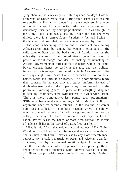lying about in the sun except on Saturdays and holidays. Colonel Lamizana of Upper Volta said, 'The people asked us to assume responsibility. The army accepts.' It is the simple soldier's view of politics, a search for a puritan ethic and a restoration of democracy unsullied by corrupt politicians. It is as though, in the army books and regulations by which the soldiers were drilled, there is an entry: *Coups, justification for;* and beside it, the felicitous phrases that the coup-makers repeat by rote.

The coup is becoming conventional wisdom not only among Africa's army men, but among her young intellectuals. In the exile cafes of Paris and the bed-sitters of London, and on the university campuses of the United States, young aspirants for power, or social change, consider the making or unmaking of African governments in terms of their contacts within the army. Power changes hands so easily at the top, and the political infrastructure is so rapidly rendered tractable. Government shifts in a single night from State House to barracks. There are fresh names, ranks and titles to be learned. The photographers ready their cameras for the new official pictures: uniforms instead of double-breasted suits; the open army look instead of the politician's knowing glance. In place of laws lengthily disputed in debating chambers, come swift decrees in civil service jargon. There is more punctuality, less pomp, total pragmatism. 'Efficiency' becomes the outstanding political principle. Political argument, once exuberantly fatuous in the mouths of career politicians, is stilled. In the political vacuum where the soldiers rule, the role and purpose of armed men go unquestioned. At the outset, it is enough for them to announce that they rule for the nation. Power lies in the hands of those who control the means of violence. It lies in the barrel of <sup>a</sup> gun, fired or silent.

What is this Africa that soldiers are taking over ? The Third World consists of three vast continents, and Africa is one of them. She is united with Latin America less by any close resemblance between, say, Brazil, Venezuela or Peru, and Algeria, Uganda or Ghana, than by their mutual relationship to forces outside the three continents, which aggravate their poverty, their dependence and their dilemmas. Latin America has had its spate of military coups; Africa seems to be in hot pursuit. Neither

6

,.,

-.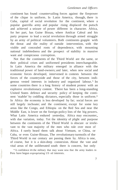continent has found countervailing forces against the firepower of the clique in uniform. In Latin America, though, there is Cuba, capital of social revolution for the continent, where a popular guerrilla army and popular rising displaced the putsch and achieved a seizure of power different in character. Africa, for her part, has Guine Bissau, where Amilcar Cabral and his party propose to lead a social revolution through armed struggle by an army of political volunteers. Both continents grapple with the threat and tlie reality of outside intervention, with the visible and concealed roots of dependence, with mounting national indebtedness and the prospect of stability in massive want and conspicuous corruption.

Not that the continents of the Third World are the same, or their political crises and uniformed presidents interchangeable. In Latin America the military emerged in alliance with the traditional power of land-owners; and later, when new social and economic forces developed, intervened in contests between the forces of the countryside and those of the city, between indigenous vested interests in industry and organized labour. 1 In some countries there is a long history of student protest with an explosive revolutionary content. There has been a long-standing United States defence and security policy of keeping the continent 'stable' by coddling dictators, especially those in uniform.\* In Africa the economy is less developed by far; social forces are still largely inchoate; and the continent, except for some key areas like the Congo, and Ethiopia on the Red Sea and near the Middle East, is lower on the foreign-policy lists of the big powers. What Latin America endured yesterday, Africa may encounter, with due variation, today. Yet the identity of plight and purpose between the continents of the Third World is obscure or irrelevant to the vast majority of the men who rule over most of Africa. I rarely heard them talk about Vietnam, or China, or Cuba, or even Guine-Bissau. The revolutionary turmoils of the Third World in our century are passing them by. Africa is one, of course, but it is a skin-deep connexion. About the vast and vital areas of the unliberated south there is concern, but only

\*A confidence in the military that may wane now that the army leaders in Peru have begun expropriating US oil interests.

I

.I

J

I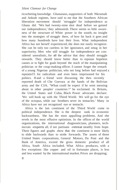ricocheting knowledge. Ghanaians, supporters of both Nkrumah and Ankrah regimes, have said to me that the Southern African liberation movement should 'struggle' for independence as Ghana did. 'We had twenty-nine shot dead before we gained our independence,' they admonish. There seems so little awareness of the structure of White power in the south; no insight into the strategies of struggle there, of how far back it goes and how many hundreds have lost their lives. What independent Africa has not herself experienced, she does not easily recognize. She can be only too careless in her ignorance, and smug in her superiority. Men who still struggle for independence are considered unrealistic, for all the advice that they should struggle onwards. They should know better than to espouse hopeless causes or to fight for goals beyond the reach of the manipulating politician or the coup-making officer. I cannot forget the remark of a young Nigerian politician, who not long before had enjoyed a reputatioTJ. for radicalism and even been imprisoned for his politics. H and a friend were discussing the then recently reported death of Che Guevara at the hands of the Bolivian army and the CIA. 'What could he expect if he went messing about in other peoples' countries ?' he exclaimed. In Britain, the United States and Cuba, Black Power advocates declare: 'We will hook up with the Third World. We will go for the eye of the octopus, while our brothers sever its tentacles.' Many in Africa have not yet recognized eye or tentacle.

Africa is the last continent of the Third World come to political independence. She is the deepest sunk in economic backwardness. She has the most appalling problems. And she revels in the most effusive optimism. In the offices of the world organizations, the international diagnosticians, planners, technocrats -experts all, if not partisans -retreat steadily from hope. Their figures and graphs show that the continent is more likely to slide backwards than to stride forwards. The assets of three United States corporations, General Motors, Du Pont and the Bank of America, exceed the gross domestic product of all Africa, South Africa included. What Africa produces, with a few exceptions like copper and oil in fortunate places, is less and less wanted by the international market.Prices are dropping;

8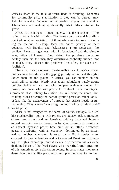Africa's share in the total of world tlade is declining. Schemes for commodity price stabilization, if they can be agreed, may help for a while. But even as the parties bargain, the chemical laboratories are making synthetically what Africa strains to grow.

Africa is a continent of mass poverty, but the obsession of the ruling groups is with luxuries. The same could be said in indictment of countless societies. But those who came to power mouthing the rhetoric of change faced the critical poverty of their countries with frivolity and fecklessness. Their successors, the soldiers, have an ingenuous faith in 'efficiency' and the simple army ethos of honesty. They detect the problems no more acutely than did the men they overthrew, probably, indeed, not as much. They discuss the problems less often, for such are 'politics'.

There bas been eloquent, inexhaustible talk in Africa about politics, side by side with the gaping poverty of political thought. Down there on the ground in Africa, you can smother in the small talk of politics. Mostly it is about politicking, rarely about policies. Politicians are men who compete with one another for power, not men who use power to confront their country's *y* problems. The military formations, the uniforms, the starch, the saluting aides-de-camp,the parade-ground precision might look, at last, like the decisiveness of purpose that Africa needs in its leadership. They camouflage a regimented sterility of ideas and#/ ..1. social policy.

Africa is not everywhere the same, of course. Ethiopia is ruled like Machiavelli's polity: with Prince, aristocracy, palace intrigue, Church and army; and an American military base and Israelitrained security service thrown in for good measure to reinforce an ancient dynastic power base built on an utterly wretched peasantry. Liberia, with an economy dominated by an international rubber company, is ruled by a Black settler elite, crowned by twelve families and a top-hatted President, disdaining the rights of 'indigenous' Africans as American whites once disdained those of the freed slaves, who werethefoundingfathers of this American-style plantation colony. In some states monarchs these days behave like presidents, and presidents aspire to be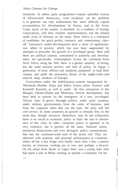monarchs. In others, party programmes conjure splendid visions of African-style democracy, even socialism; yet the problem is to generate not only enthusiasm, but, more difficult, capital accumulation for development. In Kenya, and in the Ivory Coast, much of the surplus is absorbed by a combine of foreign corporations, with their resident representatives, and the related small circle of Africans on the make. West Africa is a whirlpool of candidates for quick profits, contracts and commissions, rakeoff. Tanzania's under-development bred a sense of egalitarianism, albeit in poverty, which has now been augmented by attempts to proscribe the growth of a privileged group. Here and there are political systems committed to austerity and development, not spectacular consumption. Across the continent from West Africa, along the Nile, there is a greater austerity of living, but the same massive poverty and lack of *policy.* In Egypt a generation of army officers and students, pampered to lead their country and uplift the peasantry, dream of the night-clubs and neon-lit shop windows of Europe.

Everywhere, under the mobilization systems inaugurated by Nkrumah, Modibo Keita and Sekou Toure, Julius Nyerere and Kenneth Kaunda, as well as under the free enterprise of the Margais, Okotie-Ebohs and Mobutus, African development has been held to ransom by the emergence of a new, privileged, African class. It grows through politics, under party systems, under military governments, from the ranks of business, and from the corporate elites that run the state, the army and the civil service. In some countries, its growth is virtually free, in the sense that, though resources themselves may be fast exhausted, there is no social or economic policy to limit the size or dominance of this class. In other countries, policy is opposed to its very existence, but it persists all the same. National styles, territorial distinctions, and even divergent policy commitments blur into the continent-wide style of the newly rich. They are obsessed with property and personal performance in countries where all but a tiny fringe own hardly more than a hoe, a plastic bucket, an ironware cooking pot or two, and perhaps a bicycle. On the plane from Rome to Lagos there was a young man who had spent a year in Milan training to operate a computer. On his

I

IO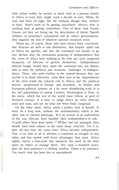II

little airline trolley he carried as much haul as a peasant family in Africa or even Italy might work a decade to earn. Milan, he said, had been all right, but the Italians, though they worked so hard, 'don't seem to be getting anywhere'. Africa's elite is working hard at getting somewhere. Few of them read Frantz Fanon, yet they are living out his description of them: 'Spoilt children of yesterday's colonialism and of ':oday's governments, they organize the loot of whatever national resources exist.'

There are, of course, those who have always been convinced that Africans are unfit to rule themselves, that Empire opted out of Africa too quickly, and that the continent was bound to go into decline after the premature granting of independence. But the crises of Africa have nothing to do with any such supposed incapacity of Africans to govern themselves. Independence delayed longer would have made the continent less, not better, able to meet the political and economic challenges of independence. Those who seek comfort in the tumult because they can ascribe it to black inferiority close their eyes to the depredations of the slave trade; the colonial role in Africa; and the political horrors perpetrated in Europe and elsewhere, by Whites and European political systems on a far more shuddering scale. It is the old paternalism of seeing London, Washington or Paris as the norm, which the rest of the world must follow, at peril of Western censure. It is time to judge Africa by what Africans need and want, and not by what the West finds congenial.

On the other hand, Africa needs a pitiless look at herself. It must be a long look, without the sentimentality which is the other side of colonial patronage. It is no answer to an indictment of the way Africans have handled their independence to ask, 'Could others have done better ?' If they had not managed, they should have been subject to the same sharp criticism. Yet it is, after all, less than ten years since Africa became independent. That is no time at all to advance a continent as ravaged as any other, and that started with fewer advantages than most. Africa rightly rejects a time-scale that measures her need by the time taken by others to assuage theirs. 'We took a hundred years, after all; have patience', is chilling comfort. There is no patience. Too much time has been lost or squandered.

..,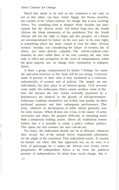Much that needs to be said on the continent is not said, or not so that others can hear. James Ngugi, the Kenya novelist, has warned of the 'silent clamour for change that is now rocking' Africa. Yet, sounding close to despair, Wole Soyinka has anticipated that the African writer will before long envy the South African the bleak immensity of his problems. 'For the South African still has the right to hope; and this prospect of a future yet uncompromised by failure on his own part, in his own right, is something which has lately ceased to exist for other African writers.' Soyinka was considering the failure of writers; but of others, too, more directly culpable. The velvet-cushion commandos, he once called them in his own country, the men who rode to office and prosperity on the wave of independence, while the great majority saw no change from colonialism to independence.

Is there a group compromised by failure ? Perhaps for some the anti-elite invective in this book will be too strong. Criticism made of persons or their roles is only incidental to a criticism, substantially, of systems and of policies. The targets are not individuals, but their place in an interest group. Civil servants come under fire nobecause Africa cannot produce some of the best, but because the very virtues avowedly possessed by a bureaucracy are inimical to the growth of self-government. Politicians condemn themselves out of their own mouths by their professed purposes and their subsequent performance. The army, whatever its declarations of noble intent, generally acts for army reasons. Where it does not, it has, in the nature of army structures and ethos, the greatest difficulty in initiating more than a temporary holding action. Above all, traditional armies believe that it is possible to create a policy without politics. This opens not new avenues but new culs-de-sac.

For many, the indictment should not be of Africans, whatever their record, but of the outside forces responsible, ultimately, for the plight of the continent. That indictment stands. It cannot be framed too often. But that approach, too, on its own, is a form of patronage; for it makes the African ever victim, never perpetrator. If independent Africa is far from the political promise of independence, let alone from social change, this is

12

.I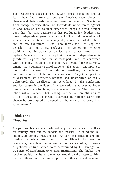not because she does not need it. She needs change no less, at least, than Latin America; but the Americas seem closer to change and their needs therefore nearer assuagement. She is far from change because there are formidable world forces against it, and because her colonial experience hangs a dread weight upon her; but also because she has produced few leaderships, these independent years, that want it. The old generation of independence politicians is largely played out, exhausted. There are too few exceptions  $-$  until new forces stir  $-$  to stop the debacle in all but a few enclaves. The generation, whether politician, administrator or soldier, that comes forward to replace *les anciens* from the euphoric days of independence, is greedy for its prizes; and, for the most part, even less .concerned with the polity, let alone the people. A different force is stirring, among the secondary-school students, the urban unemployed, the surplus graduates of the indulged coastlines, the neglected and impoverished of the northern interiors. As yet the pockets of discontent are scattered, hesitant and unassertive, or easily obliterated. The disaffected are bewildered by the confusions and lost causes in the litter of the generation that wrested independence, and are fumbling for a coherent resolve. They are not rebels without a cause, but, stirring to rebellion, are still unsure of their cause, and the means to advance it. Will the search for change be pre-empted or pursued by the entry of the army into government ?

#### **Think-Tank Theories**

.I

I

··j

Coups have become a growth industry for academics as well as for military men, and the models and theories, up-dated and reshaped, are coming thick and fast. An early classification encompassing the whole world was that of Finer.<sup>2</sup> His man on horseback, the military, intervened in politics according to levels of political culture, which were determined by the strength or weakness of attachment to civilian institutions. The higher the level of political culture, the fewer would be the opportunities for the military, and the less support the military would receive.

13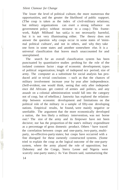The lower the level of political culture, the more numerous the opportunities, and the greater the likelihood of public support. (The coup is taken as the index of civil-military relations; but military organizations can exert a strong influence on government policy without recourse to a coup.) This framework, Ralph Miliband has said,a is not necessarily harmful, but it is not very illuminating either. The theory does not answer the question why coups occur in some states of 'minimal political culture', and not in others, and why they take . one form in some states and another somewhere else. It is a universal classification that leaves much unaccounted for and unexplained.

The search for an overall classification system has been punctuated by quantitative studies probing for the role of the isolated common factor : stage of economic development; types of political organization; length of independ nce period; size of army. The computer as a substitute for social analysis has produced arid or trivial conclusions – such as that the chances of military involvement increase year by year after independence. (Self-evident, one would think, seeing that only after independence did Africans get control of armies and politics, and any assault on a colonial administration would fall into the category not of coup, but of rebellion.) Janowitz has explored the relationship between economic development and limitations on the political role of the military in a sample of fifty-one developing nations. Empirical results, he found, were mainly negative or unreliable. The argument that the more economically developed a nation, the less likely a military intervention, was not borne out. <sup>4</sup>The size of the army and its firepower have not been decisive; nor has the proportion of the state's military expenditure as a percentage of gross domestic product. Others <sup>5</sup> have traced the correlation between coups and one-party, two-party, multiparty, no-effective-party states; but coups have occurred with a fine disregard for these earnestly constructed systems. (Some . tried to explain the coup as the logical outcome of the one-party system, where the army played the role of opposition; but Dahomey and the Congo, Sierra Leone and Nigeria were scarcely one-party states.) As Van Doorn said, summarizing the

·j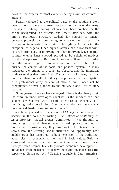work of the experts, 'almost every tendency shows its counterpart'.6

Scrutiny directed to the political party or the political system next turned to the social structure and motivation of the army. Records of military training schools have been combed for the social background of officers, and their attitudes, with the army's promotion structure studied for sources of tension between professionals competing to advance their careers, for motives of intervention in politics. Throughout Africa, with the exception of Algeria, Finer argued, armies had a low fiashpoint, or small propensity to intervene. Yet they intervened. Disposition to intervene, as Finer showed, proved to be a skein of motives, mood and opportunity. But descriptions of military organization and the social origins of soldiers are not likely to be helpful outside the context of the social and political system. In many instances, the origins of 'a coup are obscure, and the intentions of those staging them are mixed. The army acts for army reasons, but for others as well. A military coup needs the participation of a professional army or core of officers, but it need not be precipitated, or even planned, by the military alone, 7 for military reasons.

Some general theories have emerged. There is the theory that the army in under-developed countries is the modernizer; that soldiers are endowed with all sorts of virtues as dynamic, selfsacrificing reformers.<sup>8</sup> For from where else are new social policies and institutional reform to come ?

A volume planned as *The Politics of Change in Latin America*  became, in the course of writing, *The Politics of Conformity in*  Latin America.<sup>9</sup> Social groups committed, it was thought, to producing structural change, have attained power, but not to implement reforms; rather, they have worked to integrate themselves into the existing social structure. An apparently new middle group has turned out to be an extension of the traditional upper class, in economic position and in basic values. Reforms considered essential for the continent have not taken place. Groups which seemed likely to promote economic development 'have not even managed to achieve recognition, much less the capacity to dictate policy'. 10 Guerrilla struggle in Latin America

I5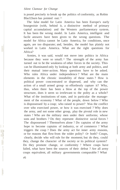is posed precisely to break up the politics of conformity, as Robin Blacl{burn has pointed out.<sup>11</sup>

The false model for Latin America has been Europe's early bourgeoisie (with, behind it, a distinctive method of primary capital accumulation) and the Western parliamentary system. It has been the wrong model. In Latin America, intelligent and facile answers have been given to the wrong questions. The model for Africa cannot be Latin America, for conditions, once again, are too disparate; and, besides, the model has plainly not worked in Latin America. What are the right questions for Africa?

Armies, it was said, would not move into politics in Africa because they were so small.<sup>12</sup> The strength of the army has turned out to be the weakness of other forces in the society. This can be illuminated only by looking at both army and politics, and their mutual inter-action. Many questions have to be asked. Who rules Africa under independence ? What are the main elements in the chronic instability of these states ? How is political power concentrated or dispersed, and why can the action of a small armed group so effortlessly capture it? Why, thus, when there has been a blow at the top of the power structure, does it seem so irrelevant to the polity as a whole? What of the institutions of state, and in particular the management of the economy ? What of the people, down below ? Who is dispossessed by a coup; who raised to power? Was the conflict over who exercised power, or how it was exercised ? Why does the army, and not some other group, play the pivotal role in new states ? Who are the military men under their uniforms; whose sons and brothers ? Do they represent distinctive social forces ? The dispossessed ? Themselves alone ? Do captains of the army hope to become captains of industry, or of commerce ? What triggers the coup ? Does the army act for inner army reasons, or for reasons that flow from the wider polity? *Or* both? Coups, clearly, decide who will rule for the moment; but do they, could they, change the character of the society or its political system? Do they promote change, or conformity ? Where coups have failed, what have been the sources of their defeat ? Are all army coups equivalent, all military governments comparable ? What

I

. I ;I ·j '.l

·:I

1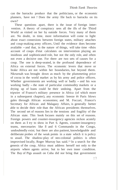can the barracks produce that the politicians, or the economic planners, have not ? Does the army file back to barracks on its own?

These questions apart, there is the issue of foreign intervention. A theory of conspiracy sees all the ills of the Third World as visited on her by outside forces. Very many of them are. No doubt, in time, more information will come to light about exact connexions between foreign states, military attaches and coup-making army officers. Until the evidence does become available  $-$  and that, in the nature of things, will take time  $-thi$ s account of coups d'etat calculates on intervention playing an insidious and sophisticated role, but not the only role, and often not even a decisive one. For there are two sets of causes for a coup. The one is deep-seated, in the profound dependence of Africa on external forces. The economic levers that move or brake Africa are not within her boundaries, but beyond them. Nkrurnah was brought down as much by the plummeting price of cocoa in the world market as by his army and police officers. Whether governments are working well or badly – and his was working badly – the state of particular commodity markets or a drying up of loans could be their undoing. Apart from the tripwire of France's military presence in Africa (of which more in a subsequent chapter), any economic breeze in Paris blows gales through African economies; and M. Foccart, France's Secretary for African and Malagasy Affairs, is generally better able to decide their role than the African presidents themselves. The second set of reasons lies in the tensions and fragility of the African state. This book focuses mainly on this set of reasons. Foreign powers and counter-insurgency agencies reckon acutely on them as I try to show in Part 6. Agents, counter-insurgency teams, mercenaries like *5* and 6 Commando in the Congo, undoubtedly exist; but there are also patient, knowledgeable and deliberate probes of the weak points in a state which it is policy to assail. The shadow-play of neo-colonial politics is often improvised locally, Roger Murray has said. <sup>13</sup> In a search for the genesis of the coup, Africa must address herself not only to the airports where agents arrive, but to her own inner condition. The Bay of Pigs assault on Cuba did nor bring that government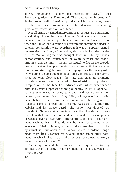down. The column of soldiers that marched on Flagstaff House from the garrison at Tamale did. The reasons are important. It is the groundswell of African politics which makes army coups possible, and while giving armies internal reasons for striking, gives other forces little or no defence.

Not all army, or armed, interventions in politics are equivalent, nor do they all take the shape of coups d'etat. Zanzibar is usually included in lists of army interventions: but in January r964, when the Sultan and a minority government entrenched under a colonial constitution were overthrown, it was by popular, armed insurrection. In Congo-Brazzaville, also usually included in the list, the Youlou regime was brought down in 1963 by strikes, demonstrations and conferences of youth activists and tradeunionists; and the army -though its refusal to fire on the crowds massed outside the presidential palace made it the decisive force in overturning the government- played a self-effacing role. Only during a subsequent political crisis, in 1966, did the army strike its own blow against the state and enter government. Uganda is generally not included in lists of African coups d'etat, except as one of the three East African states which experienced a brief and easily suppressed army pay mutiny in 1964. Uganda has not experienced an army take-over, and has no army men in her government. But in May 1966, a long-festering conflict there between the central government and the kingdom of Buganda came to a head, and the army was used to subdue the Kabaka and his palace guard. The action was directed by President Obote's civilian regime. But the Uganda army was crucial in that confrontation, and has been the nexus of power in Uganda ever since.l <sup>4</sup> Army interventions on behalf of government, such as that in Uganda, can be taken for granted as an extension of their role as guardians of the state; they can also be by virtual self-invitation, as in Gabon, where President Bongo made room in his cabinet for several of the senior army command, in what looked like a bold attempt to pre-empt the army's taking the seats for itself.\*

The army coup d'etat, though, is not equivalent to *any* political use of the army by government. Nor is it equivalent to \* March 1969.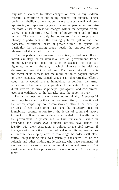any use of violence to effect change; or even to any sudden, forceful substitution of one ruling element for another. These could be rebellion or revolution, where groups, small and conspiratorial, or representing great masses of people, act to seize the state: either to press for changes within the accepted framework, or to substitute new forms of government and political system. The coup can only be undertaken 'by a group that is already a participant in the existing political system and that possesses institutional bases of power within the system. In particular the instigating group needs the support of some elements of the armed forces,'<sub>IS</sub>

The coup d'etat can pre-empt revolution, or lead to it. It can install <sup>a</sup> military, or an alternative civilian, government. It can maintain, or change social policy. In its essence, the coup is a lightning action at the top, in which violence is the ultimate determinant, even if it is not used. The conspiratorial strike is the secret of its success, not the mobilization of popular masses or their mandate. Any armed group can, theoretically, effect a coup; but it would have to immobilize or confront the army, police and other security apparatus of the state. Army coups d'etat involve the army as principal protagonist and conspirator, even if it withdraws to the barracks once the action is over.

The army does not always move monolithically. A successful coup may be staged by the army command itself, by a section of the officer corps, by non-commissioned officers, or even by privates, if each such group can take the necessary steps to immobilize counter-action from the levels of command above it. Senior military commanders have tended to identify with the government in power and to have substantial stakes in preserving the *status quo.* Younger officers have tended to identify with their generation in politics or the civil service; if that generation is critical of the political order, its representatives in uniform may employ arms to re-arrange the order itself. The critical coup-making rank was generally considered to be the colonels and other middle-grade officers, who have command of men and also access to army communications and arsenals. But most ranks have been protagonists in one or other African coup d'etat.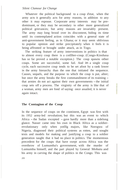Whatever the political background to a coup d'etat, when the army acts it generally acts for army reasons, in addition to any other it may espouse. Corporate army interests may be predominant, or they may be secondary to other more generalized political grievances; but army reasons are invariably present. The army may long brood over its discontent, biding its time until its contemplated action coincides with a general state of anti-government feeling, as in Ghana; or it may seem oblivious to popular opinion and strike precipitately when it feels it is being affronted or brought under attack, as in Togo.

The striking feature of army interventions in politics is that to almost every coup there is a cotlllter-coup. (Congo-Kinshasa has so far proved a notable exception.) The coup spawns other coups. Some are successful, some fail. And in a single coup cycle, each successive coup tends to be set afoot by a rank lower in the army hierarchy than the one that initiated the sequence. Causes, sequels, and the purpose to which the coup is put, alter; but once the army breaks the first commandment of its training – that armies do not act against their own governments – the initial coup sets off a process. The virginity of the army is like that of a woman, army men are fond of saying: once assailed, it is never again intact.

#### **The Contagion of the Coup**

In the sequence of coups on the continent, Egypt was first with its 1952 army-led revolution; but this was an event to which Africa  $-$  the Sudan excepted  $-$  gave hardly more than a sidelong glance. Nasser came into his own in Black Africa as a soldierrevolutionary only when yotlllg majors, like Nzeogwu of Nigeria, diagnosed their political systems as rotten, and sought texts and models for making and justifying a coup to a soldier generation taught that it had no place in politics. The momentous precedent for the coups that have swept across Africa was the overthrow of Lumumba's government, with the murder of Lumumba himself, and the part played by General Mobutu and his army in carving the shape of politics in the Congo. This was

20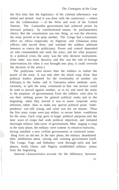the first time that the legitimacy of the colonial inheritance was defied and denied. And it was done with the connivance  $-$  where not the collaboration  $-$  of the West and even of the United Nations. The Lumumba government had achieved power by electoral primacy, by constitutional means, by parliamentary choice. But the constitution was one thing, as was the election; the army proved to be quite another. The Congo had a traumatic effect on Africa (especially on Nigerian and Ghanaian army officers who served there, and watched the soldiers arbitrate between or coerce the politicians). Power and control depended on who commanded, and used, the army, and for what purpose. In a political crisis, the army was the only decisive instrument. (One other was more decisive, and this was the role of foreign intervention; for when it was brought into play, it could overrule the decision of the army.)

The politicians were slower than the soldiers to realize the power of the army. It was only after the initial coup d'etat that political leaders planned for the eventuality of another (in Ethiopia, in the Sudan and in Tanzania, where methods were, variously, to split the army command so that one section could be used to prevail against another, or to try and enrol the army in the purposes of government). Even the soldiers were slow to use their striking power for general political ends; and in the beginning, when they moved it was to assert corporate army interests, rather than to make any special political point. Independence was still young, and crisis was not yet mature. Thus the first army coups were pay strikes, to secure better conditions for the army. Each coup grew to larger political purpose; and the later wave of coups had wide political objectives and initiated thorough military take-overs of government. Mter staging a coup in the early phase, the military were content to return to barracks, having installed a new civilian government, or extracted some-<br>thing from an old one. In the later phase, the military abandoned their inhibitions about seizing and running government itself. The Congo, Togo and Dahomey went through early and late phases, both; Ghana and Nigeria established military juntas from the beginning.

Internal characteristics account for the difference, between

21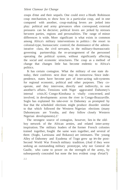coups d'etat and their sequels. One could erect a Heath Robinson coup mechanism, to show how in a particular coup, and in one compared with another, coup-making levers are jerked into play: political and army grievances often correspond; external pressures can be decisive; political levers are jerked by stresses between parties, regions and personalities. The range of minor differences is wide. More significant is what exists in common among Africa's military interventions in politics : the resort to colonial-type, bureaucratic control; the dominance of the administrative class, the civil servants, in the military-bureaucratic governing partnership; the re-arrangement of the personnel operating the political system, without significantly affecting the social and economic structures. The coup as a method of change that changes little has become endemic to Africa's politics.

It has certain contagion. What the military of one state do today, their confreres next door may do tomorrow. Since independence, states have become part of inter-acting sub-systems for regional economic, political and other purposes. They cooperate, and they intervene, directly and indirectly, in one another's affairs. Tensions with Niger aggravated Dahomey's internal crisis.lG Congo-Kinshasa is vitally concerned, and involved, in developments across the river in Congo-Brazzaville. Soglo has explained his take-over in Dahomey as prompted by fear that the scheduled elections might produce disorder similar to that which followed the Western Nigerian elections (many Dahomeyans are Yoruba, and they follow closely Western Nigerian developments).17

The strongest source of contagion, however, lies in the oldboy network of the African armies, and related inter-army inspiration. The military leaders of the former French colonies trained together, fought the same wars together, and several of them (Soglo, Larnizana and Bokasso) are intimates. The young Alley of Dahomey and Eyadema of Togo grew up in the post-Second World War French military tradition. (And if they were seeking an outstanding military prototype, why not General de Gaulle, who came to power on the strength of the army, by subsequently concealed but none the less evident coup d'etat?)